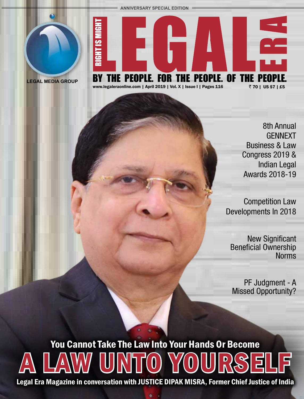**ANNIVERSARY SPECIAL EDITION**





**LEGAL MEDIA GROUP**

### 8th Annual GENNEXT Business & Law Congress 2019 & Indian Legal Awards 2018-19

Competition Law Developments In 2018

New Significant Beneficial Ownership **Norms** 

PF Judgment - A Missed Opportunity?

# A LAW UNTO YOURSELF You Cannot Take The Law Into Your Hands Or Become

Legal Era Magazine in conversation with JUSTICE DIPAK MISRA, Former Chief Justice of India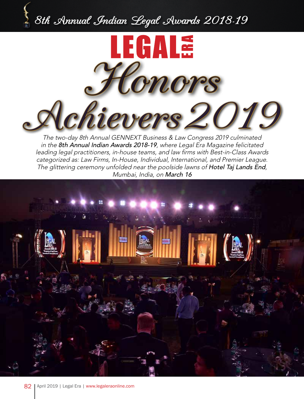# 8th Annual Indian Legal Awards 2018-19



The two-day 8th Annual GENNEXT Business & Law Congress 2019 culminated in the 8th Annual Indian Awards 2018-19, where Legal Era Magazine felicitated leading legal practitioners, in-house teams, and law firms with Best-in-Class Awards categorized as: Law Firms, In-House, Individual, International, and Premier League. The glittering ceremony unfolded near the poolside lawns of Hotel Taj Lands End, Mumbai, India, on March 16

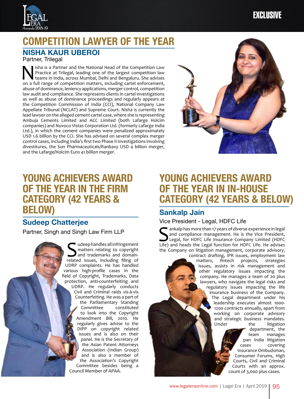

# COMPETITION LAWYER OF THE YEAR

#### **NISHA KAUR UBEROI**

Partner, Trilegal

**N** Isha is a Partner and the National Head of the Competition Law Practice at Trilegal, leading one of the largest competition law teams in India, across Mumbai, Delhi and Bengaluru. She advises on a full range of competi Practice at Trilegal, leading one of the largest competition law on a full range of competition matters, including cartel enforcement, abuse of dominance, leniency applications, merger control, competition law audit and compliance. She represents clients in cartel investigations as well as abuse of dominance proceedings and regularly appears at the Competition Commission of India (CCI), National Company Law Appellate Tribunal (NCLAT) and Supreme Court. Nisha is currently the lead lawyer on the alleged cement cartel case, where she is representing Ambuja Cements Limited and ACC Limited (both Lafarge Holcim companies) and Nuvoco Vistas Corporation Ltd. (formerly Lafarge India Ltd.), in which the cement companies were penalized approximately USD 1.6 billion by the CCI. She has advised on several complex merger control cases, including India's first two Phase II investigations involving divestitures, the Sun Pharmaceuticals/Ranbaxy USD 4 billion merger, and the Lafarge/Holcim Euro 41 billion merger.



## YOUNG ACHIEVERS AWARD OF THE YEAR IN THE FIRM CATEGORY (42 YEARS & BELOW)

#### **Sudeep Chatterjee**

Partner, Singh and Singh Law Firm LLP

Sudeep handles all infringement<br>
and trademarks and domain-<br>
related issues, including filing of matters relating to copyright related issues, including filing of UDRP complaints. He has handled various high-profile cases in the field of Copyright, Trademarks, Data protection, anti-counterfeiting and UDRP. He regularly conducts Civil and Criminal raids vis-à-vis Counterfeiting. He was a part of the Parliamentary Standing<br>Committee constituted constituted to look into the Copyright Amendment Bill, 2010. He regularly gives advise to the DIPP on copyright related issues and is also on their panel. He is the Secretary of the Asian Patent Attorneys Association (Indian Group) and is also a member of the Association's Copyright Committee besides being a Council Member of APAA.

# YOUNG ACHIEVERS AWARD OF THE YEAR IN IN-HOUSE CATEGORY (42 YEARS & BELOW)

#### **Sankalp Jain**

Vice President - Legal, HDFC Life

Sankalp has more than 17 years of diverse experience in legal<br>and compliance management. He is the Vice President,<br>Life) and heads the Legal function for HDFC Life. He advises and compliance management. He is the Vice President, Life) and heads the Legal function for HDFC Life. He advises the Company on litigation management, corporate advisory,

contract drafting, IPR issues, employment law matters, fintech projects, strategies issues, assists in risk management and other regulatory issues impacting the company. He manages a team of 20 plus lawyers, who navigate the legal risks and regulatory issues impacting the life insurance business of the Company. The Legal department under his leadership executes almost 1000- 1200 contracts annually, apart from working on corporate advisory and strategic business mandates. Under the litigation

department, the team manages pan India litigation cases covering Insurance Ombudsman, Consumer Forums, High Courts, Civil and Criminal Courts with an approx. count of 3,000 plus cases.